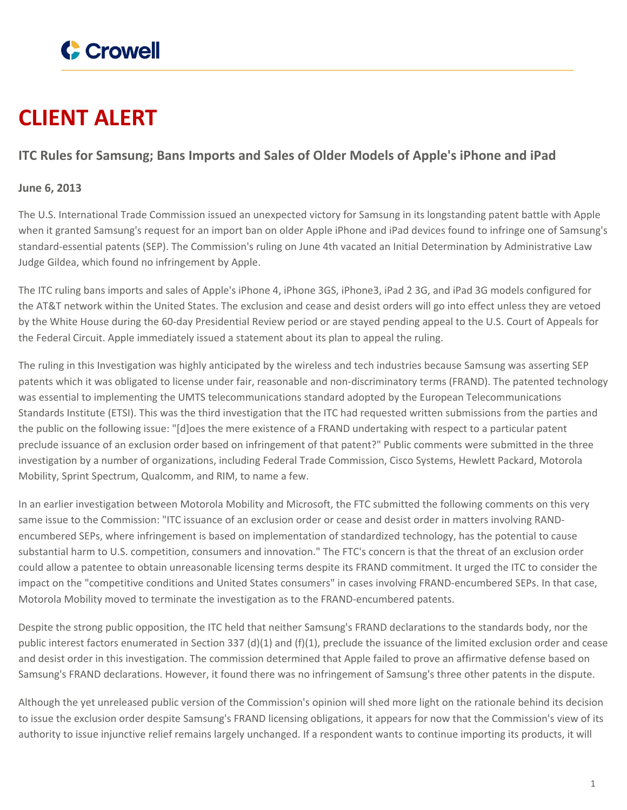

## **CLIENT ALERT**

## **ITC Rules for Samsung; Bans Imports and Sales of Older Models of Apple's iPhone and iPad**

## **June 6, 2013**

The U.S. International Trade Commission issued an unexpected victory for Samsung in its longstanding patent battle with Apple when it granted Samsung's request for an import ban on older Apple iPhone and iPad devices found to infringe one of Samsung's standard-essential patents (SEP). The Commission's ruling on June 4th vacated an Initial Determination by Administrative Law Judge Gildea, which found no infringement by Apple.

The ITC ruling bans imports and sales of Apple's iPhone 4, iPhone 3GS, iPhone3, iPad 2 3G, and iPad 3G models configured for the AT&T network within the United States. The exclusion and cease and desist orders will go into effect unless they are vetoed by the White House during the 60-day Presidential Review period or are stayed pending appeal to the U.S. Court of Appeals for the Federal Circuit. Apple immediately issued a statement about its plan to appeal the ruling.

The ruling in this Investigation was highly anticipated by the wireless and tech industries because Samsung was asserting SEP patents which it was obligated to license under fair, reasonable and non-discriminatory terms (FRAND). The patented technology was essential to implementing the UMTS telecommunications standard adopted by the European Telecommunications Standards Institute (ETSI). This was the third investigation that the ITC had requested written submissions from the parties and the public on the following issue: "[d]oes the mere existence of a FRAND undertaking with respect to a particular patent preclude issuance of an exclusion order based on infringement of that patent?" Public comments were submitted in the three investigation by a number of organizations, including Federal Trade Commission, Cisco Systems, Hewlett Packard, Motorola Mobility, Sprint Spectrum, Qualcomm, and RIM, to name a few.

In an earlier investigation between Motorola Mobility and Microsoft, the FTC submitted the following comments on this very same issue to the Commission: "ITC issuance of an exclusion order or cease and desist order in matters involving RANDencumbered SEPs, where infringement is based on implementation of standardized technology, has the potential to cause substantial harm to U.S. competition, consumers and innovation." The FTC's concern is that the threat of an exclusion order could allow a patentee to obtain unreasonable licensing terms despite its FRAND commitment. It urged the ITC to consider the impact on the "competitive conditions and United States consumers" in cases involving FRAND-encumbered SEPs. In that case, Motorola Mobility moved to terminate the investigation as to the FRAND-encumbered patents.

Despite the strong public opposition, the ITC held that neither Samsung's FRAND declarations to the standards body, nor the public interest factors enumerated in Section 337 (d)(1) and (f)(1), preclude the issuance of the limited exclusion order and cease and desist order in this investigation. The commission determined that Apple failed to prove an affirmative defense based on Samsung's FRAND declarations. However, it found there was no infringement of Samsung's three other patents in the dispute.

Although the yet unreleased public version of the Commission's opinion will shed more light on the rationale behind its decision to issue the exclusion order despite Samsung's FRAND licensing obligations, it appears for now that the Commission's view of its authority to issue injunctive relief remains largely unchanged. If a respondent wants to continue importing its products, it will